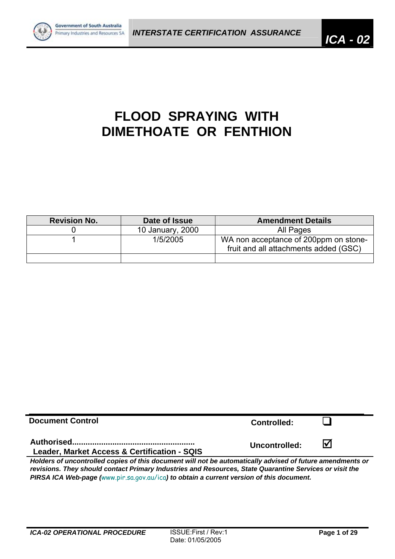

# **FLOOD SPRAYING WITH DIMETHOATE OR FENTHION**

| <b>Revision No.</b> | Date of Issue    | <b>Amendment Details</b>                                                       |
|---------------------|------------------|--------------------------------------------------------------------------------|
|                     | 10 January, 2000 | All Pages                                                                      |
|                     | 1/5/2005         | WA non acceptance of 200ppm on stone-<br>fruit and all attachments added (GSC) |
|                     |                  |                                                                                |

| <b>Document Control</b>                                                                                                                                                                                              | <b>Controlled:</b> |                         |  |  |  |  |
|----------------------------------------------------------------------------------------------------------------------------------------------------------------------------------------------------------------------|--------------------|-------------------------|--|--|--|--|
| Leader, Market Access & Certification - SQIS                                                                                                                                                                         | Uncontrolled:      | $\overline{\mathsf{M}}$ |  |  |  |  |
| Holders of uncontrolled copies of this document will not be automatically advised of future amendments or<br>revisions. They should contact Primary Industries and Resources, State Quarantine Services or visit the |                    |                         |  |  |  |  |

*PIRSA ICA Web-page (*www.pir.sa.gov.au/ica*) to obtain a current version of this document.*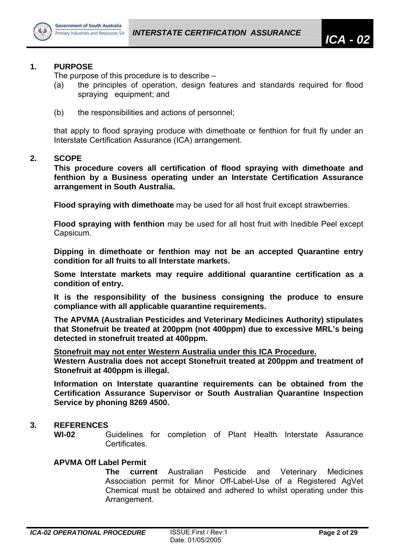

#### **1. PURPOSE**

The purpose of this procedure is to describe –

- (a) the principles of operation, design features and standards required for flood spraying equipment; and
- (b) the responsibilities and actions of personnel;

that apply to flood spraying produce with dimethoate or fenthion for fruit fly under an Interstate Certification Assurance (ICA) arrangement.

#### **2. SCOPE**

**This procedure covers all certification of flood spraying with dimethoate and fenthion by a Business operating under an Interstate Certification Assurance arrangement in South Australia.** 

**Flood spraying with dimethoate** may be used for all host fruit except strawberries.

**Flood spraying with fenthion** may be used for all host fruit with Inedible Peel except Capsicum.

**Dipping in dimethoate or fenthion may not be an accepted Quarantine entry condition for all fruits to all Interstate markets.** 

**Some Interstate markets may require additional quarantine certification as a condition of entry.**

**It is the responsibility of the business consigning the produce to ensure compliance with all applicable quarantine requirements.** 

**The APVMA (Australian Pesticides and Veterinary Medicines Authority) stipulates that Stonefruit be treated at 200ppm (not 400ppm) due to excessive MRL's being detected in stonefruit treated at 400ppm.** 

**Stonefruit may not enter Western Australia under this ICA Procedure.**

**Western Australia does not accept Stonefruit treated at 200ppm and treatment of Stonefruit at 400ppm is illegal.** 

**Information on Interstate quarantine requirements can be obtained from the Certification Assurance Supervisor or South Australian Quarantine Inspection Service by phoning 8269 4500.** 

## **3. REFERENCES**

**WI-02** Guidelines for completion of Plant Health Interstate Assurance **Certificates** 

## **APVMA Off Label Permit**

**The current** Australian Pesticide and Veterinary Medicines Association permit for Minor Off-Label-Use of a Registered AgVet Chemical must be obtained and adhered to whilst operating under this Arrangement.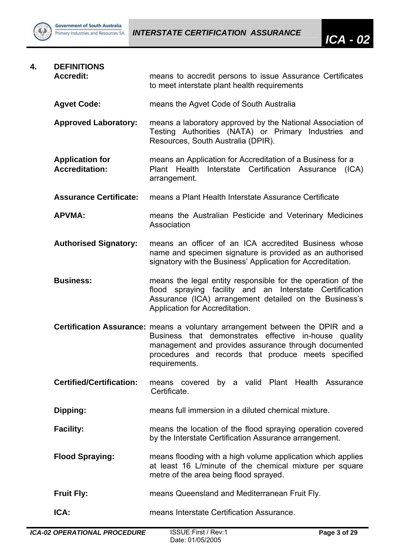

| 4. | <b>DEFINITIONS</b><br><b>Accredit:</b>          | means to accredit persons to issue Assurance Certificates<br>to meet interstate plant health requirements                                                                                                                                                              |  |  |  |  |
|----|-------------------------------------------------|------------------------------------------------------------------------------------------------------------------------------------------------------------------------------------------------------------------------------------------------------------------------|--|--|--|--|
|    | <b>Agvet Code:</b>                              | means the Agvet Code of South Australia                                                                                                                                                                                                                                |  |  |  |  |
|    | <b>Approved Laboratory:</b>                     | means a laboratory approved by the National Association of<br>Testing Authorities (NATA) or Primary Industries and<br>Resources, South Australia (DPIR).                                                                                                               |  |  |  |  |
|    | <b>Application for</b><br><b>Accreditation:</b> | means an Application for Accreditation of a Business for a<br>Plant Health Interstate Certification Assurance (ICA)<br>arrangement.                                                                                                                                    |  |  |  |  |
|    | <b>Assurance Certificate:</b>                   | means a Plant Health Interstate Assurance Certificate                                                                                                                                                                                                                  |  |  |  |  |
|    | <b>APVMA:</b>                                   | means the Australian Pesticide and Veterinary Medicines<br>Association                                                                                                                                                                                                 |  |  |  |  |
|    | <b>Authorised Signatory:</b>                    | means an officer of an ICA accredited Business whose<br>name and specimen signature is provided as an authorised<br>signatory with the Business' Application for Accreditation.                                                                                        |  |  |  |  |
|    | <b>Business:</b>                                | means the legal entity responsible for the operation of the<br>flood spraying facility and an Interstate Certification<br>Assurance (ICA) arrangement detailed on the Business's<br>Application for Accreditation.                                                     |  |  |  |  |
|    |                                                 | Certification Assurance: means a voluntary arrangement between the DPIR and a<br>Business that demonstrates effective in-house quality<br>management and provides assurance through documented<br>procedures and records that produce meets specified<br>requirements. |  |  |  |  |
|    | <b>Certified/Certification:</b>                 | by a valid Plant Health Assurance<br>means covered<br>Certificate.                                                                                                                                                                                                     |  |  |  |  |
|    | Dipping:                                        | means full immersion in a diluted chemical mixture.                                                                                                                                                                                                                    |  |  |  |  |
|    | <b>Facility:</b>                                | means the location of the flood spraying operation covered<br>by the Interstate Certification Assurance arrangement.                                                                                                                                                   |  |  |  |  |
|    | <b>Flood Spraying:</b>                          | means flooding with a high volume application which applies<br>at least 16 L/minute of the chemical mixture per square<br>metre of the area being flood sprayed.                                                                                                       |  |  |  |  |
|    | <b>Fruit Fly:</b>                               | means Queensland and Mediterranean Fruit Fly.                                                                                                                                                                                                                          |  |  |  |  |
|    | ICA:                                            | means Interstate Certification Assurance.                                                                                                                                                                                                                              |  |  |  |  |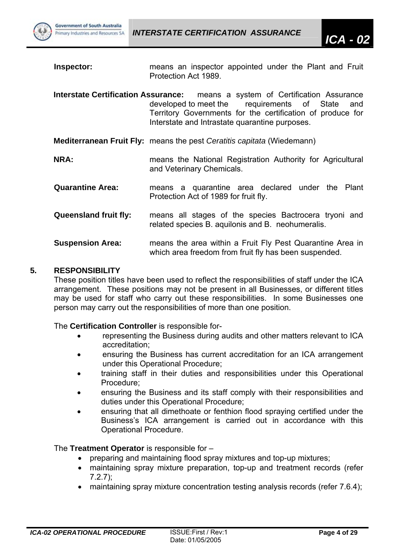

- **Inspector: means an inspector appointed under the Plant and Fruit** Protection Act 1989.
- **Interstate Certification Assurance:** means a system of Certification Assurance developed to meet the requirements of State and Territory Governments for the certification of produce for Interstate and Intrastate quarantine purposes.
- **Mediterranean Fruit Fly:** means the pest *Ceratitis capitata* (Wiedemann)
- **NRA:** means the National Registration Authority for Agricultural and Veterinary Chemicals.
- **Quarantine Area:** means a quarantine area declared under the Plant Protection Act of 1989 for fruit fly.
- **Queensland fruit fly:** means all stages of the species Bactrocera tryoni and related species B. aquilonis and B. neohumeralis.
- **Suspension Area:** means the area within a Fruit Fly Pest Quarantine Area in which area freedom from fruit fly has been suspended.

#### **5. RESPONSIBILITY**

These position titles have been used to reflect the responsibilities of staff under the ICA arrangement. These positions may not be present in all Businesses, or different titles may be used for staff who carry out these responsibilities. In some Businesses one person may carry out the responsibilities of more than one position.

#### The **Certification Controller** is responsible for-

- representing the Business during audits and other matters relevant to ICA accreditation;
- ensuring the Business has current accreditation for an ICA arrangement under this Operational Procedure;
- training staff in their duties and responsibilities under this Operational Procedure;
- ensuring the Business and its staff comply with their responsibilities and duties under this Operational Procedure;
- ensuring that all dimethoate or fenthion flood spraying certified under the Business's ICA arrangement is carried out in accordance with this Operational Procedure.

## The **Treatment Operator** is responsible for –

- preparing and maintaining flood spray mixtures and top-up mixtures;
- maintaining spray mixture preparation, top-up and treatment records (refer 7.2.7);
- maintaining spray mixture concentration testing analysis records (refer 7.6.4);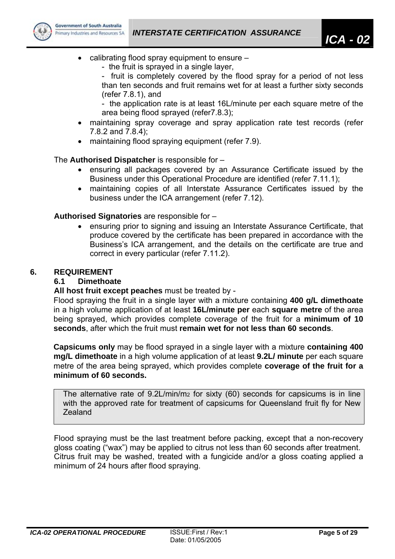

- calibrating flood spray equipment to ensure
	- the fruit is sprayed in a single layer,
	- fruit is completely covered by the flood spray for a period of not less than ten seconds and fruit remains wet for at least a further sixty seconds (refer 7.8.1), and
	- the application rate is at least 16L/minute per each square metre of the area being flood sprayed (refer7.8.3);
- maintaining spray coverage and spray application rate test records (refer 7.8.2 and 7.8.4);
- maintaining flood spraying equipment (refer 7.9).

The **Authorised Dispatcher** is responsible for –

- ensuring all packages covered by an Assurance Certificate issued by the Business under this Operational Procedure are identified (refer 7.11.1);
- maintaining copies of all Interstate Assurance Certificates issued by the business under the ICA arrangement (refer 7.12).

# **Authorised Signatories** are responsible for –

• ensuring prior to signing and issuing an Interstate Assurance Certificate, that produce covered by the certificate has been prepared in accordance with the Business's ICA arrangement, and the details on the certificate are true and correct in every particular (refer 7.11.2).

# **6. REQUIREMENT**

## **6.1 Dimethoate**

## **All host fruit except peaches** must be treated by -

Flood spraying the fruit in a single layer with a mixture containing **400 g/L dimethoate** in a high volume application of at least **16L/minute per** each **square metre** of the area being sprayed, which provides complete coverage of the fruit for a **minimum of 10 seconds**, after which the fruit must **remain wet for not less than 60 seconds**.

**Capsicums only** may be flood sprayed in a single layer with a mixture **containing 400 mg/L dimethoate** in a high volume application of at least **9.2L/ minute** per each square metre of the area being sprayed, which provides complete **coverage of the fruit for a minimum of 60 seconds.** 

The alternative rate of 9.2L/min/m2 for sixty (60) seconds for capsicums is in line with the approved rate for treatment of capsicums for Queensland fruit fly for New Zealand

Flood spraying must be the last treatment before packing, except that a non-recovery gloss coating ("wax") may be applied to citrus not less than 60 seconds after treatment. Citrus fruit may be washed, treated with a fungicide and/or a gloss coating applied a minimum of 24 hours after flood spraying.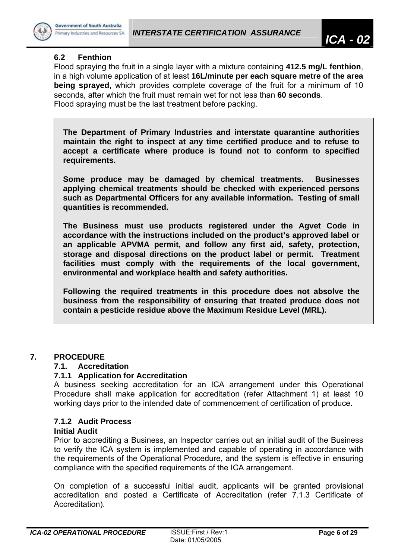

# **6.2 Fenthion**

Flood spraying the fruit in a single layer with a mixture containing **412.5 mg/L fenthion**, in a high volume application of at least **16L/minute per each square metre of the area being sprayed**, which provides complete coverage of the fruit for a minimum of 10 seconds, after which the fruit must remain wet for not less than **60 seconds**. Flood spraying must be the last treatment before packing.

**The Department of Primary Industries and interstate quarantine authorities maintain the right to inspect at any time certified produce and to refuse to accept a certificate where produce is found not to conform to specified requirements.** 

**Some produce may be damaged by chemical treatments. Businesses applying chemical treatments should be checked with experienced persons such as Departmental Officers for any available information. Testing of small quantities is recommended.** 

**The Business must use products registered under the Agvet Code in accordance with the instructions included on the product's approved label or an applicable APVMA permit, and follow any first aid, safety, protection, storage and disposal directions on the product label or permit. Treatment facilities must comply with the requirements of the local government, environmental and workplace health and safety authorities.** 

**Following the required treatments in this procedure does not absolve the business from the responsibility of ensuring that treated produce does not contain a pesticide residue above the Maximum Residue Level (MRL).** 

## **7. PROCEDURE**

## **7.1. Accreditation**

## **7.1.1 Application for Accreditation**

A business seeking accreditation for an ICA arrangement under this Operational Procedure shall make application for accreditation (refer Attachment 1) at least 10 working days prior to the intended date of commencement of certification of produce.

# **7.1.2 Audit Process**

## **Initial Audit**

Prior to accrediting a Business, an Inspector carries out an initial audit of the Business to verify the ICA system is implemented and capable of operating in accordance with the requirements of the Operational Procedure, and the system is effective in ensuring compliance with the specified requirements of the ICA arrangement.

On completion of a successful initial audit, applicants will be granted provisional accreditation and posted a Certificate of Accreditation (refer 7.1.3 Certificate of Accreditation).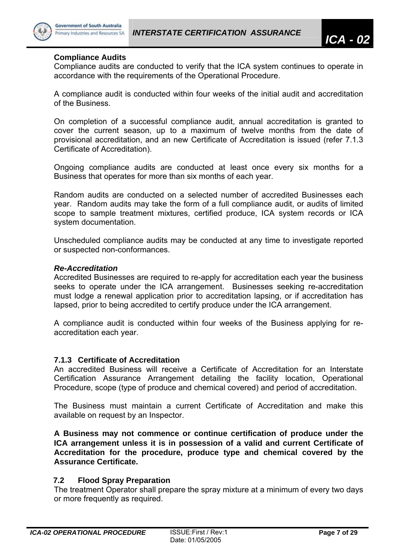

#### **Compliance Audits**

Compliance audits are conducted to verify that the ICA system continues to operate in accordance with the requirements of the Operational Procedure.

A compliance audit is conducted within four weeks of the initial audit and accreditation of the Business.

On completion of a successful compliance audit, annual accreditation is granted to cover the current season, up to a maximum of twelve months from the date of provisional accreditation, and an new Certificate of Accreditation is issued (refer 7.1.3 Certificate of Accreditation).

Ongoing compliance audits are conducted at least once every six months for a Business that operates for more than six months of each year.

Random audits are conducted on a selected number of accredited Businesses each year. Random audits may take the form of a full compliance audit, or audits of limited scope to sample treatment mixtures, certified produce, ICA system records or ICA system documentation.

Unscheduled compliance audits may be conducted at any time to investigate reported or suspected non-conformances.

#### *Re-Accreditation*

Accredited Businesses are required to re-apply for accreditation each year the business seeks to operate under the ICA arrangement. Businesses seeking re-accreditation must lodge a renewal application prior to accreditation lapsing, or if accreditation has lapsed, prior to being accredited to certify produce under the ICA arrangement.

A compliance audit is conducted within four weeks of the Business applying for reaccreditation each year.

## **7.1.3 Certificate of Accreditation**

An accredited Business will receive a Certificate of Accreditation for an Interstate Certification Assurance Arrangement detailing the facility location, Operational Procedure, scope (type of produce and chemical covered) and period of accreditation.

The Business must maintain a current Certificate of Accreditation and make this available on request by an Inspector.

**A Business may not commence or continue certification of produce under the ICA arrangement unless it is in possession of a valid and current Certificate of Accreditation for the procedure, produce type and chemical covered by the Assurance Certificate.** 

## **7.2 Flood Spray Preparation**

The treatment Operator shall prepare the spray mixture at a minimum of every two days or more frequently as required.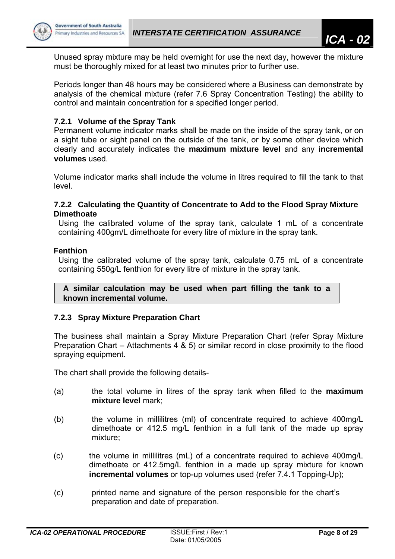

Unused spray mixture may be held overnight for use the next day, however the mixture must be thoroughly mixed for at least two minutes prior to further use.

Periods longer than 48 hours may be considered where a Business can demonstrate by analysis of the chemical mixture (refer 7.6 Spray Concentration Testing) the ability to control and maintain concentration for a specified longer period.

# **7.2.1 Volume of the Spray Tank**

Permanent volume indicator marks shall be made on the inside of the spray tank, or on a sight tube or sight panel on the outside of the tank, or by some other device which clearly and accurately indicates the **maximum mixture level** and any **incremental volumes** used.

Volume indicator marks shall include the volume in litres required to fill the tank to that level.

#### **7.2.2 Calculating the Quantity of Concentrate to Add to the Flood Spray Mixture Dimethoate**

Using the calibrated volume of the spray tank, calculate 1 mL of a concentrate containing 400gm/L dimethoate for every litre of mixture in the spray tank.

## **Fenthion**

Using the calibrated volume of the spray tank, calculate 0.75 mL of a concentrate containing 550g/L fenthion for every litre of mixture in the spray tank.

**A similar calculation may be used when part filling the tank to a known incremental volume.** 

## **7.2.3 Spray Mixture Preparation Chart**

The business shall maintain a Spray Mixture Preparation Chart (refer Spray Mixture Preparation Chart – Attachments 4 & 5) or similar record in close proximity to the flood spraying equipment.

The chart shall provide the following details-

- (a) the total volume in litres of the spray tank when filled to the **maximum mixture level** mark;
- (b) the volume in millilitres (ml) of concentrate required to achieve 400mg/L dimethoate or 412.5 mg/L fenthion in a full tank of the made up spray mixture;
- (c) the volume in millilitres (mL) of a concentrate required to achieve 400mg/L dimethoate or 412.5mg/L fenthion in a made up spray mixture for known **incremental volumes** or top-up volumes used (refer 7.4.1 Topping-Up);
- (c) printed name and signature of the person responsible for the chart's preparation and date of preparation.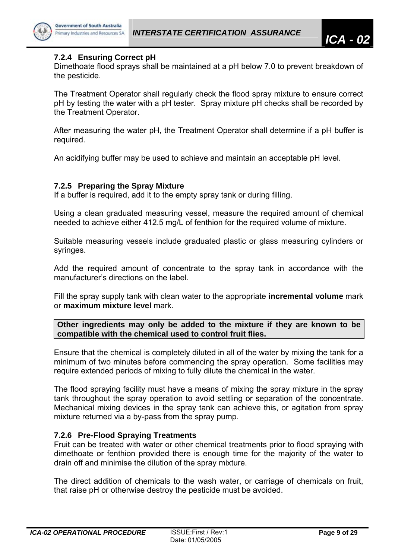

# **7.2.4 Ensuring Correct pH**

Dimethoate flood sprays shall be maintained at a pH below 7.0 to prevent breakdown of the pesticide.

The Treatment Operator shall regularly check the flood spray mixture to ensure correct pH by testing the water with a pH tester. Spray mixture pH checks shall be recorded by the Treatment Operator.

After measuring the water pH, the Treatment Operator shall determine if a pH buffer is required.

An acidifying buffer may be used to achieve and maintain an acceptable pH level.

#### **7.2.5 Preparing the Spray Mixture**

If a buffer is required, add it to the empty spray tank or during filling.

Using a clean graduated measuring vessel, measure the required amount of chemical needed to achieve either 412.5 mg/L of fenthion for the required volume of mixture.

Suitable measuring vessels include graduated plastic or glass measuring cylinders or syringes.

Add the required amount of concentrate to the spray tank in accordance with the manufacturer's directions on the label.

Fill the spray supply tank with clean water to the appropriate **incremental volume** mark or **maximum mixture level** mark.

**Other ingredients may only be added to the mixture if they are known to be compatible with the chemical used to control fruit flies.** 

Ensure that the chemical is completely diluted in all of the water by mixing the tank for a minimum of two minutes before commencing the spray operation. Some facilities may require extended periods of mixing to fully dilute the chemical in the water.

The flood spraying facility must have a means of mixing the spray mixture in the spray tank throughout the spray operation to avoid settling or separation of the concentrate. Mechanical mixing devices in the spray tank can achieve this, or agitation from spray mixture returned via a by-pass from the spray pump.

## **7.2.6 Pre-Flood Spraying Treatments**

Fruit can be treated with water or other chemical treatments prior to flood spraying with dimethoate or fenthion provided there is enough time for the majority of the water to drain off and minimise the dilution of the spray mixture.

The direct addition of chemicals to the wash water, or carriage of chemicals on fruit, that raise pH or otherwise destroy the pesticide must be avoided.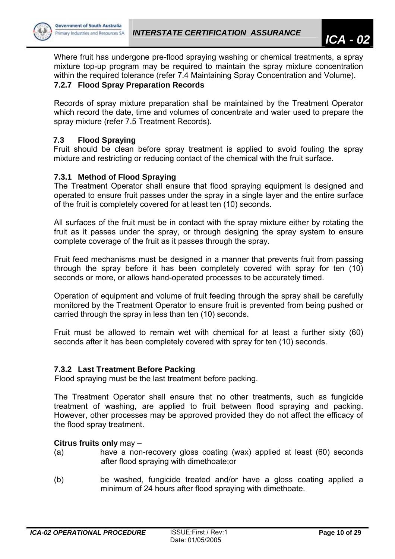



Where fruit has undergone pre-flood spraying washing or chemical treatments, a spray mixture top-up program may be required to maintain the spray mixture concentration within the required tolerance (refer 7.4 Maintaining Spray Concentration and Volume).

# **7.2.7 Flood Spray Preparation Records**

Records of spray mixture preparation shall be maintained by the Treatment Operator which record the date, time and volumes of concentrate and water used to prepare the spray mixture (refer 7.5 Treatment Records).

# **7.3 Flood Spraying**

Fruit should be clean before spray treatment is applied to avoid fouling the spray mixture and restricting or reducing contact of the chemical with the fruit surface.

# **7.3.1 Method of Flood Spraying**

The Treatment Operator shall ensure that flood spraying equipment is designed and operated to ensure fruit passes under the spray in a single layer and the entire surface of the fruit is completely covered for at least ten (10) seconds.

All surfaces of the fruit must be in contact with the spray mixture either by rotating the fruit as it passes under the spray, or through designing the spray system to ensure complete coverage of the fruit as it passes through the spray.

Fruit feed mechanisms must be designed in a manner that prevents fruit from passing through the spray before it has been completely covered with spray for ten (10) seconds or more, or allows hand-operated processes to be accurately timed.

Operation of equipment and volume of fruit feeding through the spray shall be carefully monitored by the Treatment Operator to ensure fruit is prevented from being pushed or carried through the spray in less than ten (10) seconds.

Fruit must be allowed to remain wet with chemical for at least a further sixty (60) seconds after it has been completely covered with spray for ten (10) seconds.

# **7.3.2 Last Treatment Before Packing**

Flood spraying must be the last treatment before packing.

The Treatment Operator shall ensure that no other treatments, such as fungicide treatment of washing, are applied to fruit between flood spraying and packing. However, other processes may be approved provided they do not affect the efficacy of the flood spray treatment.

## **Citrus fruits only** may –

- (a) have a non-recovery gloss coating (wax) applied at least (60) seconds after flood spraying with dimethoate;or
- (b) be washed, fungicide treated and/or have a gloss coating applied a minimum of 24 hours after flood spraying with dimethoate.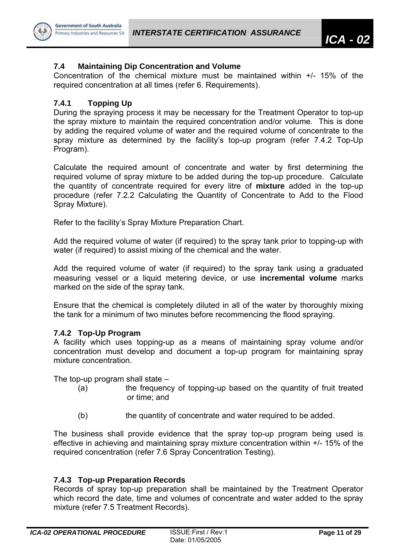

# **7.4 Maintaining Dip Concentration and Volume**

Concentration of the chemical mixture must be maintained within +/- 15% of the required concentration at all times (refer 6. Requirements).

# **7.4.1 Topping Up**

During the spraying process it may be necessary for the Treatment Operator to top-up the spray mixture to maintain the required concentration and/or volume. This is done by adding the required volume of water and the required volume of concentrate to the spray mixture as determined by the facility's top-up program (refer 7.4.2 Top-Up Program).

Calculate the required amount of concentrate and water by first determining the required volume of spray mixture to be added during the top-up procedure. Calculate the quantity of concentrate required for every litre of **mixture** added in the top-up procedure (refer 7.2.2 Calculating the Quantity of Concentrate to Add to the Flood Spray Mixture).

Refer to the facility's Spray Mixture Preparation Chart.

Add the required volume of water (if required) to the spray tank prior to topping-up with water (if required) to assist mixing of the chemical and the water.

Add the required volume of water (if required) to the spray tank using a graduated measuring vessel or a liquid metering device, or use **incremental volume** marks marked on the side of the spray tank.

Ensure that the chemical is completely diluted in all of the water by thoroughly mixing the tank for a minimum of two minutes before recommencing the flood spraying.

# **7.4.2 Top-Up Program**

A facility which uses topping-up as a means of maintaining spray volume and/or concentration must develop and document a top-up program for maintaining spray mixture concentration.

The top-up program shall state  $-$ 

- (a) the frequency of topping-up based on the quantity of fruit treated or time; and
- (b) the quantity of concentrate and water required to be added.

The business shall provide evidence that the spray top-up program being used is effective in achieving and maintaining spray mixture concentration within +/- 15% of the required concentration (refer 7.6 Spray Concentration Testing).

# **7.4.3 Top-up Preparation Records**

Records of spray top-up preparation shall be maintained by the Treatment Operator which record the date, time and volumes of concentrate and water added to the spray mixture (refer 7.5 Treatment Records).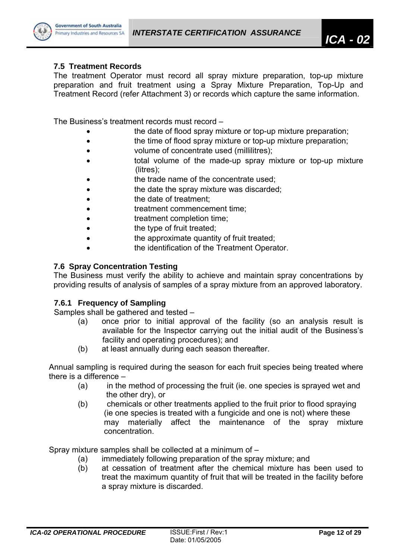

# **7.5 Treatment Records**

The treatment Operator must record all spray mixture preparation, top-up mixture preparation and fruit treatment using a Spray Mixture Preparation, Top-Up and Treatment Record (refer Attachment 3) or records which capture the same information.

The Business's treatment records must record –

- the date of flood spray mixture or top-up mixture preparation;
- **the time of flood spray mixture or top-up mixture preparation;**
- volume of concentrate used (millilitres);
- total volume of the made-up spray mixture or top-up mixture (litres);
- the trade name of the concentrate used;
- the date the spray mixture was discarded;
- the date of treatment:
- treatment commencement time;
- treatment completion time;
- the type of fruit treated;
- the approximate quantity of fruit treated;
- the identification of the Treatment Operator.

# **7.6 Spray Concentration Testing**

The Business must verify the ability to achieve and maintain spray concentrations by providing results of analysis of samples of a spray mixture from an approved laboratory.

## **7.6.1 Frequency of Sampling**

Samples shall be gathered and tested –

- (a) once prior to initial approval of the facility (so an analysis result is available for the Inspector carrying out the initial audit of the Business's facility and operating procedures); and
- (b) at least annually during each season thereafter.

Annual sampling is required during the season for each fruit species being treated where there is a difference –

- (a) in the method of processing the fruit (ie. one species is sprayed wet and the other dry), or
- (b) chemicals or other treatments applied to the fruit prior to flood spraying (ie one species is treated with a fungicide and one is not) where these may materially affect the maintenance of the spray mixture concentration.

Spray mixture samples shall be collected at a minimum of –

- (a) immediately following preparation of the spray mixture; and
- (b) at cessation of treatment after the chemical mixture has been used to treat the maximum quantity of fruit that will be treated in the facility before a spray mixture is discarded.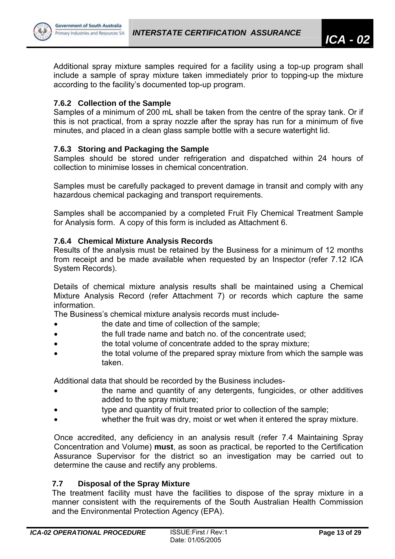

Additional spray mixture samples required for a facility using a top-up program shall include a sample of spray mixture taken immediately prior to topping-up the mixture according to the facility's documented top-up program.

# **7.6.2 Collection of the Sample**

Samples of a minimum of 200 mL shall be taken from the centre of the spray tank. Or if this is not practical, from a spray nozzle after the spray has run for a minimum of five minutes, and placed in a clean glass sample bottle with a secure watertight lid.

# **7.6.3 Storing and Packaging the Sample**

Samples should be stored under refrigeration and dispatched within 24 hours of collection to minimise losses in chemical concentration.

Samples must be carefully packaged to prevent damage in transit and comply with any hazardous chemical packaging and transport requirements.

Samples shall be accompanied by a completed Fruit Fly Chemical Treatment Sample for Analysis form. A copy of this form is included as Attachment 6.

# **7.6.4 Chemical Mixture Analysis Records**

Results of the analysis must be retained by the Business for a minimum of 12 months from receipt and be made available when requested by an Inspector (refer 7.12 ICA System Records).

Details of chemical mixture analysis results shall be maintained using a Chemical Mixture Analysis Record (refer Attachment 7) or records which capture the same information.

The Business's chemical mixture analysis records must include-

- the date and time of collection of the sample:
- **the full trade name and batch no. of the concentrate used;**
- the total volume of concentrate added to the spray mixture;
- the total volume of the prepared spray mixture from which the sample was taken.

Additional data that should be recorded by the Business includes-

- the name and quantity of any detergents, fungicides, or other additives added to the spray mixture;
- type and quantity of fruit treated prior to collection of the sample;
- whether the fruit was dry, moist or wet when it entered the spray mixture.

Once accredited, any deficiency in an analysis result (refer 7.4 Maintaining Spray Concentration and Volume) **must**, as soon as practical, be reported to the Certification Assurance Supervisor for the district so an investigation may be carried out to determine the cause and rectify any problems.

## **7.7 Disposal of the Spray Mixture**

The treatment facility must have the facilities to dispose of the spray mixture in a manner consistent with the requirements of the South Australian Health Commission and the Environmental Protection Agency (EPA).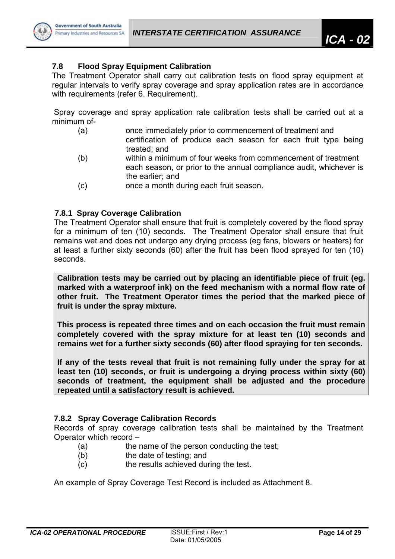

# **7.8 Flood Spray Equipment Calibration**

The Treatment Operator shall carry out calibration tests on flood spray equipment at regular intervals to verify spray coverage and spray application rates are in accordance with requirements (refer 6. Requirement).

Spray coverage and spray application rate calibration tests shall be carried out at a minimum of-

- (a) once immediately prior to commencement of treatment and
- certification of produce each season for each fruit type being treated; and
- (b) within a minimum of four weeks from commencement of treatment each season, or prior to the annual compliance audit, whichever is the earlier; and
- (c) once a month during each fruit season.

# **7.8.1 Spray Coverage Calibration**

The Treatment Operator shall ensure that fruit is completely covered by the flood spray for a minimum of ten (10) seconds. The Treatment Operator shall ensure that fruit remains wet and does not undergo any drying process (eg fans, blowers or heaters) for at least a further sixty seconds (60) after the fruit has been flood sprayed for ten (10) seconds.

**Calibration tests may be carried out by placing an identifiable piece of fruit (eg. marked with a waterproof ink) on the feed mechanism with a normal flow rate of other fruit. The Treatment Operator times the period that the marked piece of fruit is under the spray mixture.** 

**This process is repeated three times and on each occasion the fruit must remain completely covered with the spray mixture for at least ten (10) seconds and remains wet for a further sixty seconds (60) after flood spraying for ten seconds.** 

**If any of the tests reveal that fruit is not remaining fully under the spray for at least ten (10) seconds, or fruit is undergoing a drying process within sixty (60) seconds of treatment, the equipment shall be adjusted and the procedure repeated until a satisfactory result is achieved.** 

# **7.8.2 Spray Coverage Calibration Records**

Records of spray coverage calibration tests shall be maintained by the Treatment Operator which record –

- (a) the name of the person conducting the test;
- (b) the date of testing; and
- (c) the results achieved during the test.

An example of Spray Coverage Test Record is included as Attachment 8.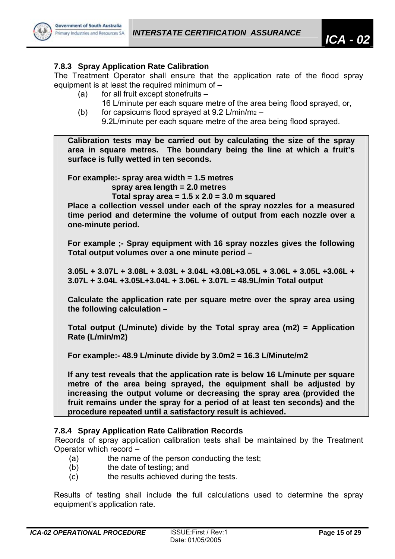

# **7.8.3 Spray Application Rate Calibration**

The Treatment Operator shall ensure that the application rate of the flood spray equipment is at least the required minimum of –

- (a) for all fruit except stonefruits
	- 16 L/minute per each square metre of the area being flood sprayed, or,
- (b) for capsicums flood sprayed at  $9.2$  L/min/m<sub>2</sub> –

9.2L/minute per each square metre of the area being flood sprayed.

**Calibration tests may be carried out by calculating the size of the spray area in square metres. The boundary being the line at which a fruit's surface is fully wetted in ten seconds.** 

**For example:- spray area width = 1.5 metres** 

 **spray area length = 2.0 metres** 

 **Total spray area = 1.5 x 2.0 = 3.0 m squared** 

**Place a collection vessel under each of the spray nozzles for a measured time period and determine the volume of output from each nozzle over a one-minute period.** 

**For example ;- Spray equipment with 16 spray nozzles gives the following Total output volumes over a one minute period –** 

**3.05L + 3.07L + 3.08L + 3.03L + 3.04L +3.08L+3.05L + 3.06L + 3.05L +3.06L + 3.07L + 3.04L +3.05L+3.04L + 3.06L + 3.07L = 48.9L/min Total output** 

**Calculate the application rate per square metre over the spray area using the following calculation –** 

**Total output (L/minute) divide by the Total spray area (m2) = Application Rate (L/min/m2)** 

**For example:- 48.9 L/minute divide by 3.0m2 = 16.3 L/Minute/m2** 

**If any test reveals that the application rate is below 16 L/minute per square metre of the area being sprayed, the equipment shall be adjusted by increasing the output volume or decreasing the spray area (provided the fruit remains under the spray for a period of at least ten seconds) and the procedure repeated until a satisfactory result is achieved.** 

# **7.8.4 Spray Application Rate Calibration Records**

Records of spray application calibration tests shall be maintained by the Treatment Operator which record –

- (a) the name of the person conducting the test;
- (b) the date of testing; and
- (c) the results achieved during the tests.

Results of testing shall include the full calculations used to determine the spray equipment's application rate.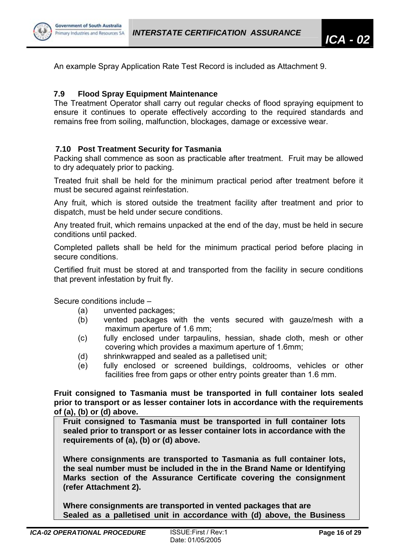

An example Spray Application Rate Test Record is included as Attachment 9.

# **7.9 Flood Spray Equipment Maintenance**

The Treatment Operator shall carry out regular checks of flood spraying equipment to ensure it continues to operate effectively according to the required standards and remains free from soiling, malfunction, blockages, damage or excessive wear.

# **7.10 Post Treatment Security for Tasmania**

Packing shall commence as soon as practicable after treatment. Fruit may be allowed to dry adequately prior to packing.

Treated fruit shall be held for the minimum practical period after treatment before it must be secured against reinfestation.

Any fruit, which is stored outside the treatment facility after treatment and prior to dispatch, must be held under secure conditions.

Any treated fruit, which remains unpacked at the end of the day, must be held in secure conditions until packed.

Completed pallets shall be held for the minimum practical period before placing in secure conditions.

Certified fruit must be stored at and transported from the facility in secure conditions that prevent infestation by fruit fly.

Secure conditions include –

- (a) unvented packages;
- (b) vented packages with the vents secured with gauze/mesh with a maximum aperture of 1.6 mm;
- (c) fully enclosed under tarpaulins, hessian, shade cloth, mesh or other covering which provides a maximum aperture of 1.6mm;
- (d) shrinkwrapped and sealed as a palletised unit;
- (e) fully enclosed or screened buildings, coldrooms, vehicles or other facilities free from gaps or other entry points greater than 1.6 mm.

**Fruit consigned to Tasmania must be transported in full container lots sealed prior to transport or as lesser container lots in accordance with the requirements of (a), (b) or (d) above.** 

**Fruit consigned to Tasmania must be transported in full container lots sealed prior to transport or as lesser container lots in accordance with the requirements of (a), (b) or (d) above.** 

**Where consignments are transported to Tasmania as full container lots, the seal number must be included in the in the Brand Name or Identifying Marks section of the Assurance Certificate covering the consignment (refer Attachment 2).** 

**Where consignments are transported in vented packages that are Sealed as a palletised unit in accordance with (d) above, the Business**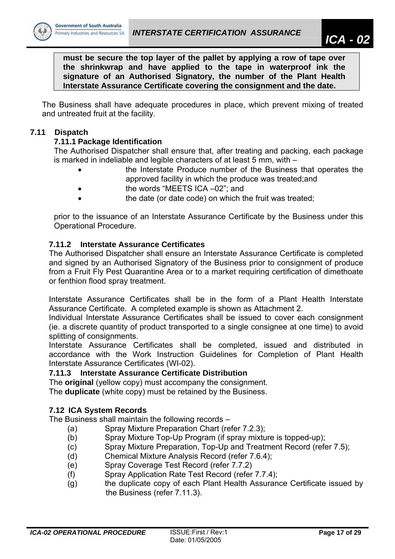

**must be secure the top layer of the pallet by applying a row of tape over the shrinkwrap and have applied to the tape in waterproof ink the signature of an Authorised Signatory, the number of the Plant Health Interstate Assurance Certificate covering the consignment and the date.** 

The Business shall have adequate procedures in place, which prevent mixing of treated and untreated fruit at the facility.

# **7.11 Dispatch**

# **7.11.1 Package Identification**

The Authorised Dispatcher shall ensure that, after treating and packing, each package is marked in indeliable and legible characters of at least 5 mm, with –

- the Interstate Produce number of the Business that operates the approved facility in which the produce was treated;and
- the words "MEETS ICA –02"; and
- the date (or date code) on which the fruit was treated;

prior to the issuance of an Interstate Assurance Certificate by the Business under this Operational Procedure.

# **7.11.2 Interstate Assurance Certificates**

The Authorised Dispatcher shall ensure an Interstate Assurance Certificate is completed and signed by an Authorised Signatory of the Business prior to consignment of produce from a Fruit Fly Pest Quarantine Area or to a market requiring certification of dimethoate or fenthion flood spray treatment.

Interstate Assurance Certificates shall be in the form of a Plant Health Interstate Assurance Certificate. A completed example is shown as Attachment 2.

Individual Interstate Assurance Certificates shall be issued to cover each consignment (ie. a discrete quantity of product transported to a single consignee at one time) to avoid splitting of consignments.

Interstate Assurance Certificates shall be completed, issued and distributed in accordance with the Work Instruction Guidelines for Completion of Plant Health Interstate Assurance Certificates (WI-02).

## **7.11.3 Interstate Assurance Certificate Distribution**

The **original** (yellow copy) must accompany the consignment.

The **duplicate** (white copy) must be retained by the Business.

## **7.12 ICA System Records**

The Business shall maintain the following records –

- (a) Spray Mixture Preparation Chart (refer 7.2.3);
- (b) Spray Mixture Top-Up Program (if spray mixture is topped-up);
- (c) Spray Mixture Preparation, Top-Up and Treatment Record (refer 7.5);
- (d) Chemical Mixture Analysis Record (refer 7.6.4);
- (e) Spray Coverage Test Record (refer 7.7.2)
- (f) Spray Application Rate Test Record (refer 7.7.4);
- (g) the duplicate copy of each Plant Health Assurance Certificate issued by the Business (refer 7.11.3).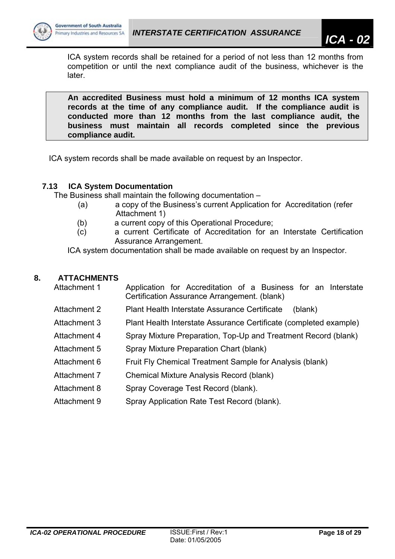

ICA system records shall be retained for a period of not less than 12 months from competition or until the next compliance audit of the business, whichever is the later.

**An accredited Business must hold a minimum of 12 months ICA system records at the time of any compliance audit. If the compliance audit is conducted more than 12 months from the last compliance audit, the business must maintain all records completed since the previous compliance audit.** 

ICA system records shall be made available on request by an Inspector.

# **7.13 ICA System Documentation**

The Business shall maintain the following documentation –

- (a) a copy of the Business's current Application for Accreditation (refer Attachment 1)
- (b) a current copy of this Operational Procedure;
- (c) a current Certificate of Accreditation for an Interstate Certification Assurance Arrangement.

ICA system documentation shall be made available on request by an Inspector.

# **8. ATTACHMENTS**

| Attachment 1 | Application for Accreditation of a Business for an Interstate<br>Certification Assurance Arrangement. (blank) |
|--------------|---------------------------------------------------------------------------------------------------------------|
| Attachment 2 | Plant Health Interstate Assurance Certificate<br>(blank)                                                      |
| Attachment 3 | Plant Health Interstate Assurance Certificate (completed example)                                             |
| Attachment 4 | Spray Mixture Preparation, Top-Up and Treatment Record (blank)                                                |
| Attachment 5 | Spray Mixture Preparation Chart (blank)                                                                       |
| Attachment 6 | Fruit Fly Chemical Treatment Sample for Analysis (blank)                                                      |
| Attachment 7 | <b>Chemical Mixture Analysis Record (blank)</b>                                                               |
| Attachment 8 | Spray Coverage Test Record (blank).                                                                           |
| Attachment 9 | Spray Application Rate Test Record (blank).                                                                   |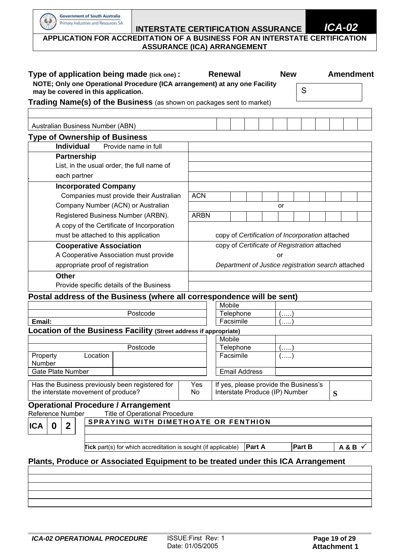| Type of application being made (tick one):                                                                    |             | <b>Renewal</b>                                     |  |    | <b>New</b> |   |   | <b>Amendment</b> |
|---------------------------------------------------------------------------------------------------------------|-------------|----------------------------------------------------|--|----|------------|---|---|------------------|
| NOTE; Only one Operational Procedure (ICA arrangement) at any one Facility                                    |             |                                                    |  |    |            | S |   |                  |
| may be covered in this application.                                                                           |             |                                                    |  |    |            |   |   |                  |
| Trading Name(s) of the Business (as shown on packages sent to market)                                         |             |                                                    |  |    |            |   |   |                  |
| Australian Business Number (ABN)                                                                              |             |                                                    |  |    |            |   |   |                  |
|                                                                                                               |             |                                                    |  |    |            |   |   |                  |
| <b>Type of Ownership of Business</b><br><b>Individual</b><br>Provide name in full                             |             |                                                    |  |    |            |   |   |                  |
| <b>Partnership</b>                                                                                            |             |                                                    |  |    |            |   |   |                  |
| List, in the usual order, the full name of                                                                    |             |                                                    |  |    |            |   |   |                  |
| each partner                                                                                                  |             |                                                    |  |    |            |   |   |                  |
| <b>Incorporated Company</b>                                                                                   |             |                                                    |  |    |            |   |   |                  |
| Companies must provide their Australian                                                                       | <b>ACN</b>  |                                                    |  |    |            |   |   |                  |
| Company Number (ACN) or Australian                                                                            |             |                                                    |  | or |            |   |   |                  |
| Registered Business Number (ARBN).                                                                            | <b>ARBN</b> |                                                    |  |    |            |   |   |                  |
| A copy of the Certificate of Incorporation                                                                    |             |                                                    |  |    |            |   |   |                  |
| must be attached to this application                                                                          |             | copy of Certification of Incorporation attached    |  |    |            |   |   |                  |
| <b>Cooperative Association</b>                                                                                |             | copy of Certificate of Registration attached       |  |    |            |   |   |                  |
| A Cooperative Association must provide                                                                        |             |                                                    |  | or |            |   |   |                  |
| appropriate proof of registration                                                                             |             | Department of Justice registration search attached |  |    |            |   |   |                  |
| <b>Other</b>                                                                                                  |             |                                                    |  |    |            |   |   |                  |
| Provide specific details of the Business                                                                      |             |                                                    |  |    |            |   |   |                  |
| Postal address of the Business (where all correspondence will be sent)                                        |             |                                                    |  |    |            |   |   |                  |
|                                                                                                               |             | Mobile                                             |  |    |            |   |   |                  |
| Postcode<br>Email:                                                                                            |             | Telephone                                          |  |    | (.         |   |   |                  |
| Location of the Business Facility (Street address if appropriate)                                             |             | Facsimile                                          |  |    | ()         |   |   |                  |
|                                                                                                               |             | Mobile                                             |  |    |            |   |   |                  |
| Postcode                                                                                                      |             | Telephone                                          |  |    | (. )       |   |   |                  |
| Location<br>Property                                                                                          |             | Facsimile                                          |  |    | (. )       |   |   |                  |
| Number<br><b>Gate Plate Number</b>                                                                            |             | <b>Email Address</b>                               |  |    |            |   |   |                  |
|                                                                                                               |             | If yes, please provide the Business's              |  |    |            |   |   |                  |
|                                                                                                               | Yes<br>No   | Interstate Produce (IP) Number                     |  |    |            |   | S |                  |
| Has the Business previously been registered for<br>the interstate movement of produce?                        |             |                                                    |  |    |            |   |   |                  |
|                                                                                                               |             |                                                    |  |    |            |   |   |                  |
| <b>Title of Operational Procedure</b>                                                                         |             |                                                    |  |    |            |   |   |                  |
| <b>Operational Procedure / Arrangement</b><br><b>Reference Number</b><br>SPRAYING WITH DIMETHOATE OR FENTHION |             |                                                    |  |    |            |   |   |                  |
| $\boldsymbol{2}$<br><b>ICA</b><br>0                                                                           |             |                                                    |  |    |            |   |   |                  |

Government of South Australia Primary Industries and Resources SA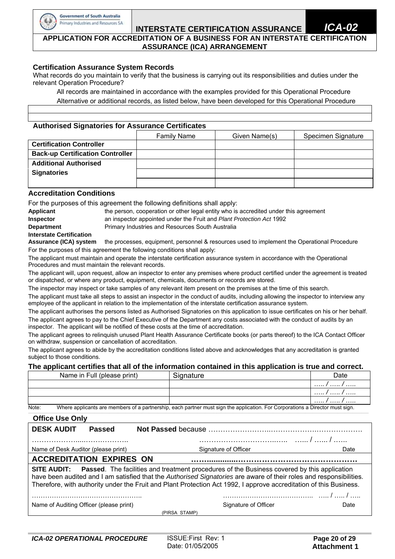

# **INTERSTATE CERTIFICATION ASSURANCE**

#### **APPLICATION FOR ACCREDITATION OF A BUSINESS FOR AN INTERSTATE CERTIFICATION ASSURANCE (ICA) ARRANGEMENT**

#### **Certification Assurance System Records**

What records do you maintain to verify that the business is carrying out its responsibilities and duties under the relevant Operation Procedure?

 All records are maintained in accordance with the examples provided for this Operational Procedure Alternative or additional records, as listed below, have been developed for this Operational Procedure

#### **Authorised Signatories for Assurance Certificates**

|                                         | <b>Family Name</b> | Given Name(s) | Specimen Signature |
|-----------------------------------------|--------------------|---------------|--------------------|
| <b>Certification Controller</b>         |                    |               |                    |
| <b>Back-up Certification Controller</b> |                    |               |                    |
| <b>Additional Authorised</b>            |                    |               |                    |
| <b>Signatories</b>                      |                    |               |                    |
|                                         |                    |               |                    |

#### **Accreditation Conditions**

For the purposes of this agreement the following definitions shall apply:

| Applicant                       | the person, cooperation or other legal entity who is accredited under this agreement |
|---------------------------------|--------------------------------------------------------------------------------------|
| <b>Inspector</b>                | an inspector appointed under the Fruit and Plant Protection Act 1992                 |
| <b>Department</b>               | <b>Primary Industries and Resources South Australia</b>                              |
| <b>Interstate Certification</b> |                                                                                      |
|                                 |                                                                                      |

**Assurance (ICA) system** the processes, equipment, personnel & resources used to implement the Operational Procedure For the purposes of this agreement the following conditions shall apply:

The applicant must maintain and operate the interstate certification assurance system in accordance with the Operational Procedures and must maintain the relevant records.

The applicant will, upon request, allow an inspector to enter any premises where product certified under the agreement is treated or dispatched, or where any product, equipment, chemicals, documents or records are stored.

The inspector may inspect or take samples of any relevant item present on the premises at the time of this search.

The applicant must take all steps to assist an inspector in the conduct of audits, including allowing the inspector to interview any employee of the applicant in relation to the implementation of the interstate certification assurance system.

The applicant authorises the persons listed as Authorised Signatories on this application to issue certificates on his or her behalf. The applicant agrees to pay to the Chief Executive of the Department any costs associated with the conduct of audits by an inspector. The applicant will be notified of these costs at the time of accreditation.

The applicant agrees to relinquish unused Plant Health Assurance Certificate books (or parts thereof) to the ICA Contact Officer on withdraw, suspension or cancellation of accreditation.

The applicant agrees to abide by the accreditation conditions listed above and acknowledges that any accreditation is granted subject to those conditions.

#### **The applicant certifies that all of the information contained in this application is true and correct.**

|           | Name in Full (please print) | Signature                                                                                                                   | Date  |
|-----------|-----------------------------|-----------------------------------------------------------------------------------------------------------------------------|-------|
|           |                             |                                                                                                                             | .     |
|           |                             |                                                                                                                             | . / / |
|           |                             |                                                                                                                             | . / / |
| $N = + -$ |                             | Where anglicante are members of a nextrembly, each nextrem must sign the anglication. For Carnerations a Director must sign |       |

Note: Where applicants are members of a partnership, each partner must sign the application. For Corporations a Director must sign. **\_\_\_\_\_\_\_\_\_\_\_\_\_\_\_\_\_\_\_\_\_\_\_\_\_\_\_\_\_\_\_\_\_\_\_\_\_\_\_\_\_\_\_\_\_\_\_\_\_\_\_\_\_\_\_\_\_\_\_\_\_\_\_\_\_\_\_\_\_\_\_\_\_\_\_\_\_\_\_\_\_\_\_\_\_\_\_\_\_\_\_\_\_\_\_\_\_\_\_\_\_\_\_\_\_\_\_\_\_\_\_\_\_\_\_\_\_\_\_\_\_\_\_\_\_\_\_\_\_\_\_\_\_\_\_\_\_\_\_\_\_\_\_\_\_\_\_\_\_\_\_\_\_\_\_\_\_\_\_\_\_\_\_\_\_\_\_\_\_\_\_\_\_\_\_\_\_\_\_\_\_\_\_\_\_\_\_\_\_\_\_\_\_\_\_\_\_\_\_\_\_\_\_\_\_\_\_\_\_\_\_\_\_\_\_\_\_\_\_\_\_\_\_\_\_\_\_\_\_\_\_** 

# **Office Use Only**

| <b>VIIILE USE VIIIV</b>                                                                                                                                                                                                                                                                                                                                     |                      |      |  |  |  |  |
|-------------------------------------------------------------------------------------------------------------------------------------------------------------------------------------------------------------------------------------------------------------------------------------------------------------------------------------------------------------|----------------------|------|--|--|--|--|
| <b>DESK AUDIT</b><br><b>Passed</b>                                                                                                                                                                                                                                                                                                                          |                      |      |  |  |  |  |
|                                                                                                                                                                                                                                                                                                                                                             |                      |      |  |  |  |  |
| Name of Desk Auditor (please print)                                                                                                                                                                                                                                                                                                                         | Signature of Officer | Date |  |  |  |  |
| <b>ACCREDITATION EXPIRES ON</b>                                                                                                                                                                                                                                                                                                                             |                      |      |  |  |  |  |
| <b>SITE AUDIT:</b> Passed. The facilities and treatment procedures of the Business covered by this application<br>have been audited and I am satisfied that the Authorised Signatories are aware of their roles and responsibilities.<br>Therefore, with authority under the Fruit and Plant Protection Act 1992, I approve accreditation of this Business. |                      |      |  |  |  |  |
|                                                                                                                                                                                                                                                                                                                                                             |                      |      |  |  |  |  |
| Name of Auditing Officer (please print)                                                                                                                                                                                                                                                                                                                     | Signature of Officer | Date |  |  |  |  |
|                                                                                                                                                                                                                                                                                                                                                             | (PIRSA STAMP)        |      |  |  |  |  |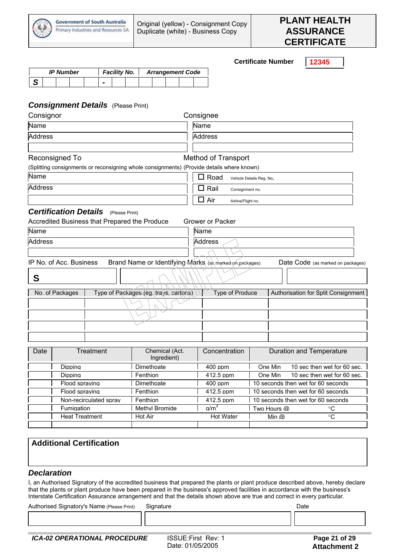

**Certificate Number 12345**  *IP Number Facility No. Arrangement Code S - Consignment Details* (Please Print) Consignor Consignee Name Name Address Address Address Address Address Address Address Address Address Address A Reconsigned To **Method** of Transport (Splitting consignments or reconsigning whole consignments) (Provide details where known)  $\Box$  Road Vehicle Details Reg. No. Address and Consignment no. Address and the Consignment no. Air Airline/Flight no. *Certification Details* (Please Print) Accredited Business that Prepared the Produce Grower or Packer Name Name Address Address Address Address Address Address Address Address Address Address A IP No. of Acc. Business Brand Name or Identifying Marks (as marked on packages) Date Code (as marked on packages) No. of Packages | Type of Packages (eg. trays, cartons) | Type of Produce | Authorisation for Split Consignment Date Treatment Chemical (Act. Ingredient) Concentration | Duration and Temperature Dipping Dimethoate 1 400 ppm 0 one Min 10 sec then wet for 60 sec. Dipping Fenthion 12.5 ppm One Min 10 sec then wet for 60 sec. Flood spraying Dimethoate 400 ppm 10 seconds then wet for 60 seconds Flood spraying Fenthion 412.5 ppm 10 seconds then wet for 60 seconds Non-recirculated spray Fenthion 412.5 ppm 10 seconds then wet for 60 seconds Fumigation Methyl Bromide g/m<sup>3</sup> Two Hours @ °C Heat Treatment Hot Air Hot Water Min @ °C

#### **Additional Certification**

#### *Declaration*

**S** 

I, an Authorised Signatory of the accredited business that prepared the plants or plant produce described above, hereby declare that the plants or plant produce have been prepared in the business's approved facilities in accordance with the business's Interstate Certification Assurance arrangement and that the details shown above are true and correct in every particular.

Authorised Signatory's Name (Please Print) Signature Communication Controller Controller Date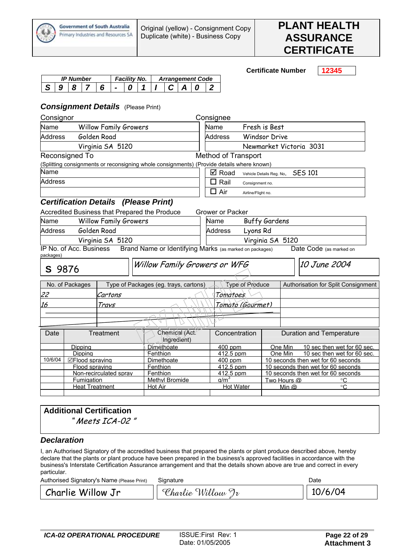

**Certificate Number 12345** 

|  | <b>IP Number</b> |  | Facility No. |  |  | <b>Arrangement Code</b> |  |  |  |  |
|--|------------------|--|--------------|--|--|-------------------------|--|--|--|--|
|  |                  |  |              |  |  |                         |  |  |  |  |

### *Consignment Details* (Please Print)

| Consignor           |                         |                                             |                                                                                           | Consignee                  |                          |                         |                                     |
|---------------------|-------------------------|---------------------------------------------|-------------------------------------------------------------------------------------------|----------------------------|--------------------------|-------------------------|-------------------------------------|
| Name                |                         | <b>Willow Family Growers</b>                |                                                                                           | Name                       | Fresh is Best            |                         |                                     |
| <b>Address</b>      |                         | Golden Road                                 |                                                                                           | <b>Address</b>             | <b>Windsor Drive</b>     |                         |                                     |
|                     |                         | Virginia SA 5120                            |                                                                                           |                            |                          | Newmarket Victoria 3031 |                                     |
|                     | Reconsigned To          |                                             |                                                                                           | <b>Method of Transport</b> |                          |                         |                                     |
|                     |                         |                                             | (Splitting consignments or reconsigning whole consignments) (Provide details where known) |                            |                          |                         |                                     |
| Name                |                         |                                             |                                                                                           | $\boxtimes$ Road           | Vehicle Details Reg. No. |                         | <b>SES 101</b>                      |
| <b>Address</b>      |                         |                                             |                                                                                           | $\Box$ Rail                | Consignment no.          |                         |                                     |
|                     |                         |                                             |                                                                                           | $\Box$ Air                 | Airline/Flight no.       |                         |                                     |
|                     |                         | <b>Certification Details (Please Print)</b> |                                                                                           |                            |                          |                         |                                     |
|                     |                         |                                             | Accredited Business that Prepared the Produce                                             | <b>Grower or Packer</b>    |                          |                         |                                     |
| Name                |                         | <b>Willow Family Growers</b>                |                                                                                           | Name                       | <b>Buffy Gardens</b>     |                         |                                     |
| <b>Address</b>      |                         | Golden Road                                 |                                                                                           | <b>Address</b>             | Lyons Rd                 |                         |                                     |
|                     |                         | Virginia SA 5120                            |                                                                                           | Virginia SA 5120           |                          |                         |                                     |
|                     | IP No. of Acc. Business |                                             | Brand Name or Identifying Marks (as marked on packages)                                   |                            |                          |                         | Date Code (as marked on             |
| packages)<br>S 9876 |                         |                                             | Willow Family Growers or WFG                                                              |                            |                          |                         | 10 June 2004                        |
|                     | No. of Packages         |                                             | Type of Packages (eg. trays, cartons)                                                     |                            | Type of Produce          |                         | Authorisation for Split Consignment |
| 22                  |                         | Cartons                                     |                                                                                           | Tomatoes                   |                          |                         |                                     |
| 16                  |                         | Travs                                       |                                                                                           |                            | Tomato (Gourmet)         |                         |                                     |
|                     |                         |                                             |                                                                                           |                            |                          |                         |                                     |
|                     |                         |                                             |                                                                                           |                            |                          |                         |                                     |
| Date                |                         | Treatment                                   | Chemical (Act.<br>Ingredient)                                                             | Concentration              |                          |                         | <b>Duration and Temperature</b>     |
|                     | Dipping                 |                                             | Dimethoate                                                                                | 400 ppm                    |                          | One Min                 | 10 sec then wet for 60 sec.         |
|                     | Dipping                 |                                             | Fenthion                                                                                  | 412.5 ppm                  |                          | One Min                 | 10 sec then wet for 60 sec.         |
| 10/6/04             | ⊡Flood spraving         |                                             | Dimethoate                                                                                | 400 ppm                    |                          |                         | 10 seconds then wet for 60 seconds  |
|                     | Flood spraving          |                                             | Fenthion                                                                                  | 412.5 ppm                  |                          |                         | 10 seconds then wet for 60 seconds  |
|                     |                         | Non-recirculated sprav                      | Fenthion                                                                                  | 412.5 ppm                  |                          |                         | 10 seconds then wet for 60 seconds  |

# **Additional Certification**

" Meets ICA-02 "

## *Declaration*

I, an Authorised Signatory of the accredited business that prepared the plants or plant produce described above, hereby declare that the plants or plant produce have been prepared in the business's approved facilities in accordance with the business's Interstate Certification Assurance arrangement and that the details shown above are true and correct in every particular.

| Authorised Signatory's Name (Please Print) | Signature         | Date    |
|--------------------------------------------|-------------------|---------|
| Charlie Willow Jr                          | Charlie Willow Jr | 10/6/04 |

Fumigation Methyl Bromide g/m<sup>3</sup> Two Hours @ °C Heat Treatment Hot Air Hot Air Hot Water Min @ ºC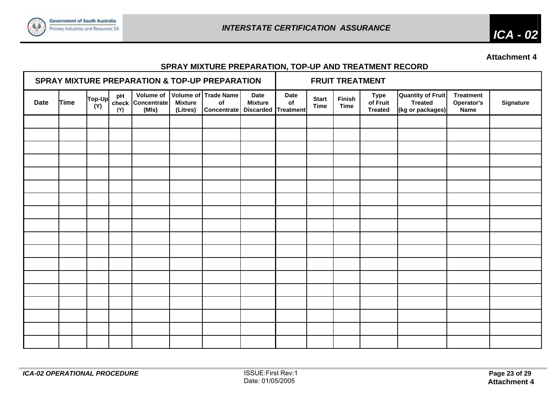

*ICA - 02* 

**Attachment 4** 

# **SPRAY MIXTURE PREPARATION, TOP-UP AND TREATMENT RECORD**

| SPRAY MIXTURE PREPARATION & TOP-UP PREPARATION |      |               |                    |                      |                            |                                                                                         | <b>FRUIT TREATMENT</b>        |                   |                             |                       |                                           |                                                                |                                        |           |
|------------------------------------------------|------|---------------|--------------------|----------------------|----------------------------|-----------------------------------------------------------------------------------------|-------------------------------|-------------------|-----------------------------|-----------------------|-------------------------------------------|----------------------------------------------------------------|----------------------------------------|-----------|
| <b>Date</b>                                    | Time | Top-Up<br>(Y) | pH<br>check<br>(Y) | Concentrate<br>(MIs) | <b>Mixture</b><br>(Litres) | Volume of Volume of Trade Name<br>o <sub>f</sub><br>Concentrate   Discarded   Treatment | <b>Date</b><br><b>Mixture</b> | <b>Date</b><br>of | <b>Start</b><br><b>Time</b> | Finish<br><b>Time</b> | <b>Type</b><br>of Fruit<br><b>Treated</b> | <b>Quantity of Fruit</b><br><b>Treated</b><br>(kg or packages) | <b>Treatment</b><br>Operator's<br>Name | Signature |
|                                                |      |               |                    |                      |                            |                                                                                         |                               |                   |                             |                       |                                           |                                                                |                                        |           |
|                                                |      |               |                    |                      |                            |                                                                                         |                               |                   |                             |                       |                                           |                                                                |                                        |           |
|                                                |      |               |                    |                      |                            |                                                                                         |                               |                   |                             |                       |                                           |                                                                |                                        |           |
|                                                |      |               |                    |                      |                            |                                                                                         |                               |                   |                             |                       |                                           |                                                                |                                        |           |
|                                                |      |               |                    |                      |                            |                                                                                         |                               |                   |                             |                       |                                           |                                                                |                                        |           |
|                                                |      |               |                    |                      |                            |                                                                                         |                               |                   |                             |                       |                                           |                                                                |                                        |           |
|                                                |      |               |                    |                      |                            |                                                                                         |                               |                   |                             |                       |                                           |                                                                |                                        |           |
|                                                |      |               |                    |                      |                            |                                                                                         |                               |                   |                             |                       |                                           |                                                                |                                        |           |
|                                                |      |               |                    |                      |                            |                                                                                         |                               |                   |                             |                       |                                           |                                                                |                                        |           |
|                                                |      |               |                    |                      |                            |                                                                                         |                               |                   |                             |                       |                                           |                                                                |                                        |           |
|                                                |      |               |                    |                      |                            |                                                                                         |                               |                   |                             |                       |                                           |                                                                |                                        |           |
|                                                |      |               |                    |                      |                            |                                                                                         |                               |                   |                             |                       |                                           |                                                                |                                        |           |
|                                                |      |               |                    |                      |                            |                                                                                         |                               |                   |                             |                       |                                           |                                                                |                                        |           |
|                                                |      |               |                    |                      |                            |                                                                                         |                               |                   |                             |                       |                                           |                                                                |                                        |           |
|                                                |      |               |                    |                      |                            |                                                                                         |                               |                   |                             |                       |                                           |                                                                |                                        |           |
|                                                |      |               |                    |                      |                            |                                                                                         |                               |                   |                             |                       |                                           |                                                                |                                        |           |
|                                                |      |               |                    |                      |                            |                                                                                         |                               |                   |                             |                       |                                           |                                                                |                                        |           |
|                                                |      |               |                    |                      |                            |                                                                                         |                               |                   |                             |                       |                                           |                                                                |                                        |           |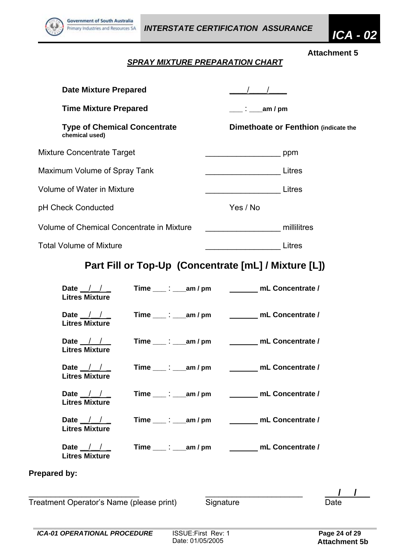

# *SPRAY MIXTURE PREPARATION CHART*

| <b>Date Mixture Prepared</b>                                                                          |                                                               |
|-------------------------------------------------------------------------------------------------------|---------------------------------------------------------------|
| <b>Time Mixture Prepared</b><br><b>Type of Chemical Concentrate</b><br>chemical used)                 | $\frac{1}{2}$ am / pm<br>Dimethoate or Fenthion (indicate the |
| <b>Mixture Concentrate Target</b>                                                                     |                                                               |
| Maximum Volume of Spray Tank                                                                          |                                                               |
| Volume of Water in Mixture                                                                            | Litres                                                        |
| pH Check Conducted                                                                                    | Yes / No                                                      |
| Volume of Chemical Concentrate in Mixture                                                             | millilitres                                                   |
| <b>Total Volume of Mixture</b>                                                                        | Litres                                                        |
|                                                                                                       | Part Fill or Top-Up (Concentrate [mL] / Mixture [L])          |
| Time $\_\_\rightleftharpoons\_\_\_$ am / pm<br>Date $\frac{1}{1}$<br><b>Litres Mixture</b>            | mL Concentrate /                                              |
| Time $\_\_\_\$ : $\_\_\$ am / pm<br>Date $\frac{1}{1}$<br><b>Litres Mixture</b>                       | _______ mL Concentrate /                                      |
| Date $\frac{1}{1}$<br>$Time \t{~}$ : $am/m$<br><b>Litres Mixture</b>                                  | mL Concentrate /                                              |
| Date $/$ /<br>Time $\_\_\_\_\_\_\_\_\_\_\_\$ am / pm<br><b>Litres Mixture</b>                         | mL Concentrate /                                              |
| Time $\_\_\_\rightrel$ : $\_\_\_\text{am}/\,\text{pm}$<br>Date $\frac{1}{1}$<br><b>Litres Mixture</b> | mL Concentrate /                                              |
| Date $\frac{1}{1}$<br><b>Litres Mixture</b>                                                           | Time ____: ____ am / pm ___________ mL Concentrate /          |
| Date $\frac{1}{1}$<br><b>Litres Mixture</b>                                                           | Time ____: ____ am / pm __________ mL Concentrate /           |
| Prepared by:                                                                                          |                                                               |
| Treatment Operator's Name (please print)                                                              | Signature<br>Date                                             |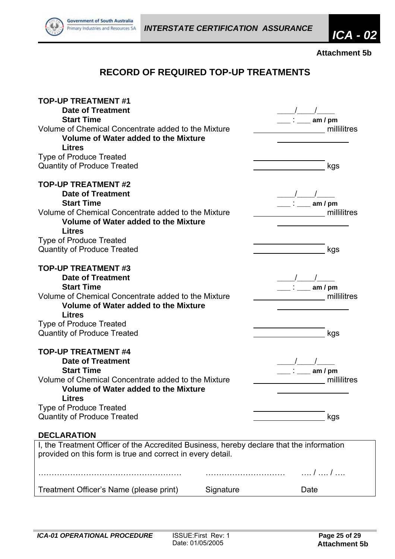

**Attachment 5b** 

# **RECORD OF REQUIRED TOP-UP TREATMENTS**

| <b>TOP-UP TREATMENT #1</b><br><b>Date of Treatment</b>                                   |           |      |             |
|------------------------------------------------------------------------------------------|-----------|------|-------------|
| <b>Start Time</b>                                                                        |           |      | am / pm     |
| Volume of Chemical Concentrate added to the Mixture                                      |           |      | millilitres |
| Volume of Water added to the Mixture                                                     |           |      |             |
| <b>Litres</b>                                                                            |           |      |             |
| <b>Type of Produce Treated</b>                                                           |           |      |             |
| <b>Quantity of Produce Treated</b>                                                       |           |      | kgs         |
| <b>TOP-UP TREATMENT #2</b>                                                               |           |      |             |
| <b>Date of Treatment</b>                                                                 |           |      |             |
| <b>Start Time</b>                                                                        |           |      | am $/$ pm   |
| Volume of Chemical Concentrate added to the Mixture                                      |           |      | millilitres |
| Volume of Water added to the Mixture                                                     |           |      |             |
| <b>Litres</b>                                                                            |           |      |             |
| <b>Type of Produce Treated</b>                                                           |           |      |             |
| <b>Quantity of Produce Treated</b>                                                       |           |      | kgs         |
| <b>TOP-UP TREATMENT #3</b>                                                               |           |      |             |
| <b>Date of Treatment</b>                                                                 |           |      |             |
| <b>Start Time</b>                                                                        |           |      | am $/$ pm   |
| Volume of Chemical Concentrate added to the Mixture                                      |           |      | millilitres |
| <b>Volume of Water added to the Mixture</b>                                              |           |      |             |
| <b>Litres</b>                                                                            |           |      |             |
| <b>Type of Produce Treated</b>                                                           |           |      |             |
| <b>Quantity of Produce Treated</b>                                                       |           |      | kgs         |
| <b>TOP-UP TREATMENT #4</b>                                                               |           |      |             |
| <b>Date of Treatment</b>                                                                 |           |      |             |
| <b>Start Time</b>                                                                        |           |      | am / $pm$   |
| Volume of Chemical Concentrate added to the Mixture                                      |           |      | millilitres |
| <b>Volume of Water added to the Mixture</b>                                              |           |      |             |
| <b>Litres</b>                                                                            |           |      |             |
| <b>Type of Produce Treated</b>                                                           |           |      |             |
| <b>Quantity of Produce Treated</b>                                                       |           |      | kgs         |
| <b>DECLARATION</b>                                                                       |           |      |             |
| I, the Treatment Officer of the Accredited Business, hereby declare that the information |           |      |             |
| provided on this form is true and correct in every detail.                               |           |      |             |
|                                                                                          |           |      | /  /        |
| Treatment Officer's Name (please print)                                                  | Signature | Date |             |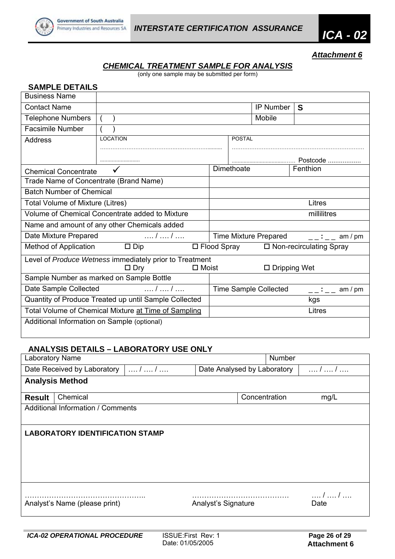



*Attachment 6*

# *CHEMICAL TREATMENT SAMPLE FOR ANALYSIS*

(only one sample may be submitted per form)

| <b>SAMPLE DETAILS</b>                       |                                                         |                                                             |               |                        |          |  |
|---------------------------------------------|---------------------------------------------------------|-------------------------------------------------------------|---------------|------------------------|----------|--|
| <b>Business Name</b>                        |                                                         |                                                             |               |                        |          |  |
| <b>Contact Name</b>                         |                                                         |                                                             |               | <b>IP Number</b>       | S        |  |
| <b>Telephone Numbers</b>                    |                                                         |                                                             |               | Mobile                 |          |  |
| <b>Facsimile Number</b>                     |                                                         |                                                             |               |                        |          |  |
| <b>Address</b>                              | <b>LOCATION</b>                                         |                                                             | <b>POSTAL</b> |                        |          |  |
|                                             |                                                         |                                                             |               |                        |          |  |
|                                             |                                                         |                                                             |               |                        |          |  |
| <b>Chemical Concentrate</b>                 |                                                         |                                                             | Dimethoate    |                        | Fenthion |  |
| Trade Name of Concentrate (Brand Name)      |                                                         |                                                             |               |                        |          |  |
| <b>Batch Number of Chemical</b>             |                                                         |                                                             |               |                        |          |  |
| Total Volume of Mixture (Litres)            |                                                         | Litres                                                      |               |                        |          |  |
|                                             | Volume of Chemical Concentrate added to Mixture         | millilitres                                                 |               |                        |          |  |
|                                             | Name and amount of any other Chemicals added            |                                                             |               |                        |          |  |
| Date Mixture Prepared                       | $/$ $/$                                                 | <b>Time Mixture Prepared</b><br>am $/$ pm<br>$\sim 1 \pm 1$ |               |                        |          |  |
| Method of Application                       | $\Box$ Dip                                              | $\square$ Flood Spray<br>$\Box$ Non-recirculating Spray     |               |                        |          |  |
|                                             | Level of Produce Wetness immediately prior to Treatment |                                                             |               |                        |          |  |
|                                             | $\Box$ Dry<br>$\Box$ Moist                              |                                                             |               | $\square$ Dripping Wet |          |  |
|                                             | Sample Number as marked on Sample Bottle                |                                                             |               |                        |          |  |
| Date Sample Collected                       | $/$ $/$                                                 | <b>Time Sample Collected</b><br>__:__ am / pm               |               |                        |          |  |
|                                             | Quantity of Produce Treated up until Sample Collected   | kgs                                                         |               |                        |          |  |
|                                             | Total Volume of Chemical Mixture at Time of Sampling    |                                                             |               |                        | Litres   |  |
| Additional Information on Sample (optional) |                                                         |                                                             |               |                        |          |  |
|                                             |                                                         |                                                             |               |                        |          |  |

## **ANALYSIS DETAILS – LABORATORY USE ONLY**

| <b>Laboratory Name</b>                   |                         | <b>Number</b>               |       |       |  |  |
|------------------------------------------|-------------------------|-----------------------------|-------|-------|--|--|
| Date Received by Laboratory              | $\dots l \dots l \dots$ | Date Analysed by Laboratory | . / / |       |  |  |
| <b>Analysis Method</b>                   |                         |                             |       |       |  |  |
| Chemical<br><b>Result</b>                |                         | Concentration               |       | mg/L  |  |  |
| <b>Additional Information / Comments</b> |                         |                             |       |       |  |  |
|                                          |                         |                             |       |       |  |  |
| <b>LABORATORY IDENTIFICATION STAMP</b>   |                         |                             |       |       |  |  |
|                                          |                         |                             |       |       |  |  |
|                                          |                         |                             |       |       |  |  |
|                                          |                         |                             |       |       |  |  |
|                                          |                         |                             |       |       |  |  |
|                                          |                         |                             |       |       |  |  |
|                                          |                         |                             |       | . / / |  |  |
| Analyst's Name (please print)            |                         | Analyst's Signature         |       | Date  |  |  |
|                                          |                         |                             |       |       |  |  |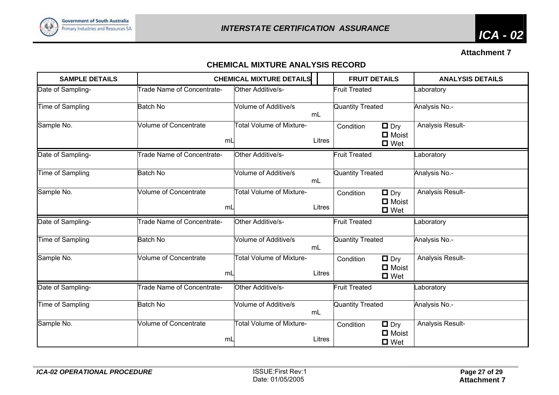

**Attachment 7** 

# **CHEMICAL MIXTURE ANALYSIS RECORD**

| <b>SAMPLE DETAILS</b> |                                    | <b>CHEMICAL MIXTURE DETAILS</b> |        | <b>FRUIT DETAILS</b>                                                  | <b>ANALYSIS DETAILS</b> |
|-----------------------|------------------------------------|---------------------------------|--------|-----------------------------------------------------------------------|-------------------------|
| Date of Sampling-     | Trade Name of Concentrate-         | Other Additive/s-               |        | <b>Fruit Treated</b>                                                  | _aboratory              |
| Time of Sampling      | <b>Batch No</b>                    | Volume of Additive/s            | mL     | <b>Quantity Treated</b>                                               | Analysis No.-           |
| Sample No.            | <b>Volume of Concentrate</b><br>mL | <b>Total Volume of Mixture-</b> | Litres | $\Box$ Dry<br>Condition<br>$\blacksquare$ Moist<br>$\blacksquare$ Wet | Analysis Result-        |
| Date of Sampling-     | Trade Name of Concentrate-         | Other Additive/s-               |        | <b>Fruit Treated</b>                                                  | _aboratory              |
| Time of Sampling      | <b>Batch No</b>                    | Volume of Additive/s            | mL     | <b>Quantity Treated</b>                                               | Analysis No.-           |
| Sample No.            | <b>Volume of Concentrate</b><br>mL | <b>Total Volume of Mixture-</b> | Litres | $\Box$ Dry<br>Condition<br>$\blacksquare$ Moist<br>$\Box$ Wet         | Analysis Result-        |
| Date of Sampling-     | Trade Name of Concentrate-         | Other Additive/s-               |        | <b>Fruit Treated</b>                                                  | _aboratory              |
| Time of Sampling      | <b>Batch No</b>                    | Volume of Additive/s            | mL     | Quantity Treated                                                      | Analysis No.-           |
| Sample No.            | <b>Volume of Concentrate</b><br>mL | <b>Total Volume of Mixture-</b> | Litres | $\Box$ Dry<br>Condition<br>$\blacksquare$ Moist<br>$\blacksquare$ Wet | Analysis Result-        |
| Date of Sampling-     | Trade Name of Concentrate-         | Other Additive/s-               |        | <b>Fruit Treated</b>                                                  | _aboratory              |
| Time of Sampling      | <b>Batch No</b>                    | <b>Volume of Additive/s</b>     | mL     | <b>Quantity Treated</b>                                               | Analysis No.-           |
| Sample No.            | <b>Volume of Concentrate</b><br>mL | <b>Total Volume of Mixture-</b> | Litres | $\Box$ Dry<br>Condition<br>$\blacksquare$ Moist<br>$\blacksquare$ Wet | Analysis Result-        |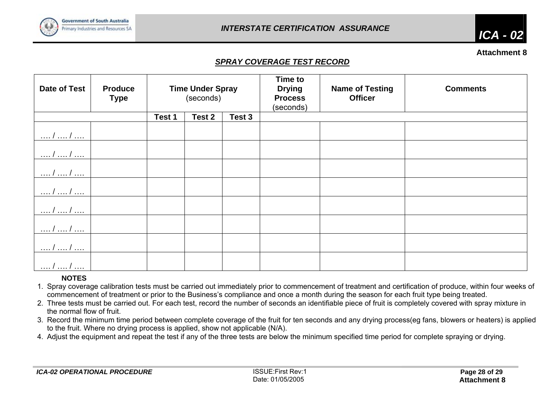

*ICA - 02* 

#### **Attachment 8**

# *SPRAY COVERAGE TEST RECORD*

| <b>Date of Test</b>     | <b>Produce</b><br><b>Type</b> | <b>Time Under Spray</b><br>(seconds) |        |        | <b>Time to</b><br><b>Drying</b><br><b>Process</b><br>(seconds) | <b>Name of Testing</b><br><b>Officer</b> | <b>Comments</b> |
|-------------------------|-------------------------------|--------------------------------------|--------|--------|----------------------------------------------------------------|------------------------------------------|-----------------|
|                         |                               | Test 1                               | Test 2 | Test 3 |                                                                |                                          |                 |
| /  /                    |                               |                                      |        |        |                                                                |                                          |                 |
| $\dots l \dots l \dots$ |                               |                                      |        |        |                                                                |                                          |                 |
| /  /                    |                               |                                      |        |        |                                                                |                                          |                 |
| $/$ $/$                 |                               |                                      |        |        |                                                                |                                          |                 |
| . 1 1                   |                               |                                      |        |        |                                                                |                                          |                 |
| /  /                    |                               |                                      |        |        |                                                                |                                          |                 |
| $'$ /                   |                               |                                      |        |        |                                                                |                                          |                 |
| . <i>. .</i>            |                               |                                      |        |        |                                                                |                                          |                 |

## **NOTES**

1. Spray coverage calibration tests must be carried out immediately prior to commencement of treatment and certification of produce, within four weeks of commencement of treatment or prior to the Business's compliance and once a month during the season for each fruit type being treated.

2. Three tests must be carried out. For each test, record the number of seconds an identifiable piece of fruit is completely covered with spray mixture in the normal flow of fruit.

3. Record the minimum time period between complete coverage of the fruit for ten seconds and any drying process(eg fans, blowers or heaters) is applied to the fruit. Where no drying process is applied, show not applicable (N/A).

4. Adjust the equipment and repeat the test if any of the three tests are below the minimum specified time period for complete spraying or drying.